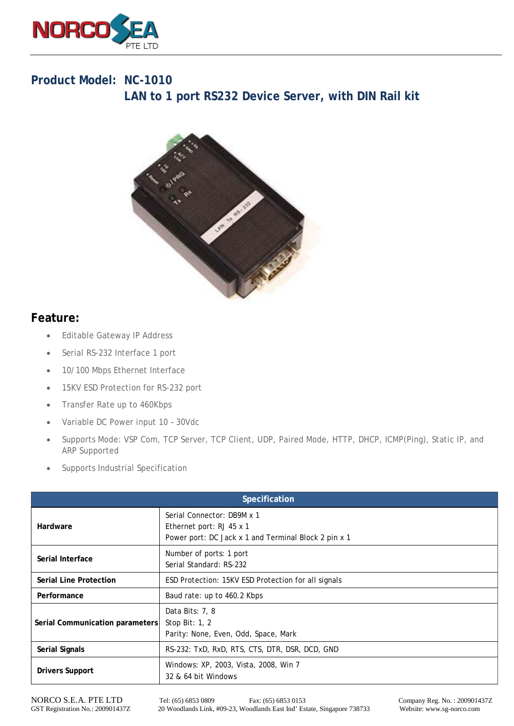

## **Product Model: NC-1010 LAN to 1 port RS232 Device Server, with DIN Rail kit**



## **Feature:**

- Editable Gateway IP Address
- Serial RS-232 Interface 1 port
- 10/100 Mbps Ethernet Interface
- 15KV ESD Protection for RS-232 port
- Transfer Rate up to 460Kbps
- Variable DC Power input 10 30Vdc
- Supports Mode: VSP Com, TCP Server, TCP Client, UDP, Paired Mode, HTTP, DHCP, ICMP(Ping), Static IP, and ARP Supported
- Supports Industrial Specification

| Specification                   |                                                                                                                |  |
|---------------------------------|----------------------------------------------------------------------------------------------------------------|--|
| Hardware                        | Serial Connector: DB9M x 1<br>Ethernet port: RJ 45 x 1<br>Power port: DC Jack x 1 and Terminal Block 2 pin x 1 |  |
| Serial Interface                | Number of ports: 1 port<br>Serial Standard: RS-232                                                             |  |
| <b>Serial Line Protection</b>   | ESD Protection: 15KV ESD Protection for all signals                                                            |  |
| Performance                     | Baud rate: up to 460.2 Kbps                                                                                    |  |
| Serial Communication parameters | Data Bits: 7, 8<br>Stop Bit: 1, 2<br>Parity: None, Even, Odd, Space, Mark                                      |  |
| <b>Serial Signals</b>           | RS-232: TxD, RxD, RTS, CTS, DTR, DSR, DCD, GND                                                                 |  |
| <b>Drivers Support</b>          | Windows: XP, 2003, Vista, 2008, Win 7<br>32 & 64 bit Windows                                                   |  |